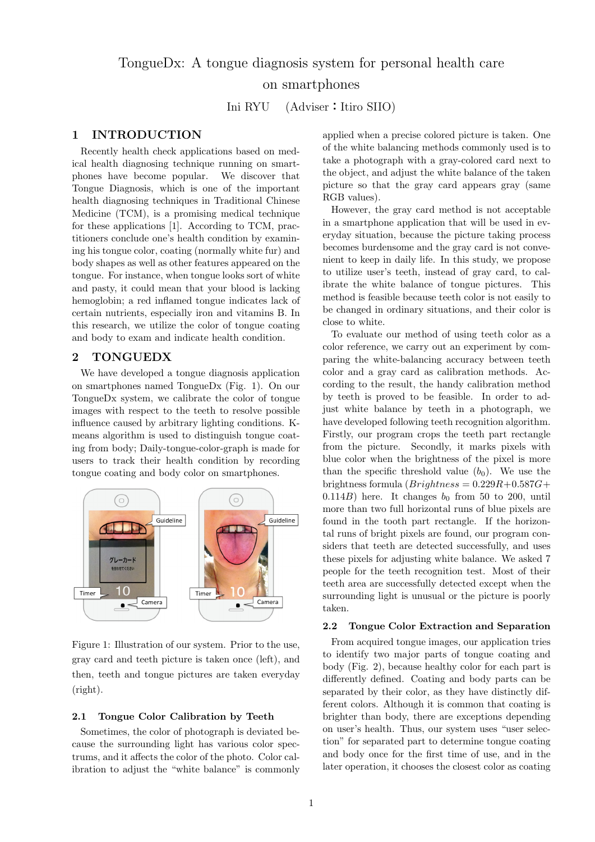# TongueDx: A tongue diagnosis system for personal health care on smartphones

Ini RYU (Adviser**:**Itiro SIIO)

### **1 INTRODUCTION**

Recently health check applications based on medical health diagnosing technique running on smartphones have become popular. We discover that Tongue Diagnosis, which is one of the important health diagnosing techniques in Traditional Chinese Medicine (TCM), is a promising medical technique for these applications [1]. According to TCM, practitioners conclude one's health condition by examining his tongue color, coating (normally white fur) and body shapes as well as other features appeared on the tongue. For instance, when tongue looks sort of white and pasty, it could mean that your blood is lacking hemoglobin; a red inflamed tongue indicates lack of certain nutrients, especially iron and vitamins B. In this research, we utilize the color of tongue coating and body to exam and indicate health condition.

## **2 TONGUEDX**

We have developed a tongue diagnosis application on smartphones named TongueDx (Fig. 1). On our TongueDx system, we calibrate the color of tongue images with respect to the teeth to resolve possible influence caused by arbitrary lighting conditions. Kmeans algorithm is used to distinguish tongue coating from body; Daily-tongue-color-graph is made for users to track their health condition by recording tongue coating and body color on smartphones.



Figure 1: Illustration of our system. Prior to the use, gray card and teeth picture is taken once (left), and then, teeth and tongue pictures are taken everyday (right).

### **2.1 Tongue Color Calibration by Teeth**

Sometimes, the color of photograph is deviated because the surrounding light has various color spectrums, and it affects the color of the photo. Color calibration to adjust the "white balance" is commonly

applied when a precise colored picture is taken. One of the white balancing methods commonly used is to take a photograph with a gray-colored card next to the object, and adjust the white balance of the taken picture so that the gray card appears gray (same RGB values).

However, the gray card method is not acceptable in a smartphone application that will be used in everyday situation, because the picture taking process becomes burdensome and the gray card is not convenient to keep in daily life. In this study, we propose to utilize user's teeth, instead of gray card, to calibrate the white balance of tongue pictures. This method is feasible because teeth color is not easily to be changed in ordinary situations, and their color is close to white.

To evaluate our method of using teeth color as a color reference, we carry out an experiment by comparing the white-balancing accuracy between teeth color and a gray card as calibration methods. According to the result, the handy calibration method by teeth is proved to be feasible. In order to adjust white balance by teeth in a photograph, we have developed following teeth recognition algorithm. Firstly, our program crops the teeth part rectangle from the picture. Secondly, it marks pixels with blue color when the brightness of the pixel is more than the specific threshold value  $(b_0)$ . We use the  $b$ rightness formula  $(Brightness = 0.229R + 0.587G +$  $(0.114B)$  here. It changes  $b_0$  from 50 to 200, until more than two full horizontal runs of blue pixels are found in the tooth part rectangle. If the horizontal runs of bright pixels are found, our program considers that teeth are detected successfully, and uses these pixels for adjusting white balance. We asked 7 people for the teeth recognition test. Most of their teeth area are successfully detected except when the surrounding light is unusual or the picture is poorly taken.

#### **2.2 Tongue Color Extraction and Separation**

From acquired tongue images, our application tries to identify two major parts of tongue coating and body (Fig. 2), because healthy color for each part is differently defined. Coating and body parts can be separated by their color, as they have distinctly different colors. Although it is common that coating is brighter than body, there are exceptions depending on user's health. Thus, our system uses "user selection" for separated part to determine tongue coating and body once for the first time of use, and in the later operation, it chooses the closest color as coating